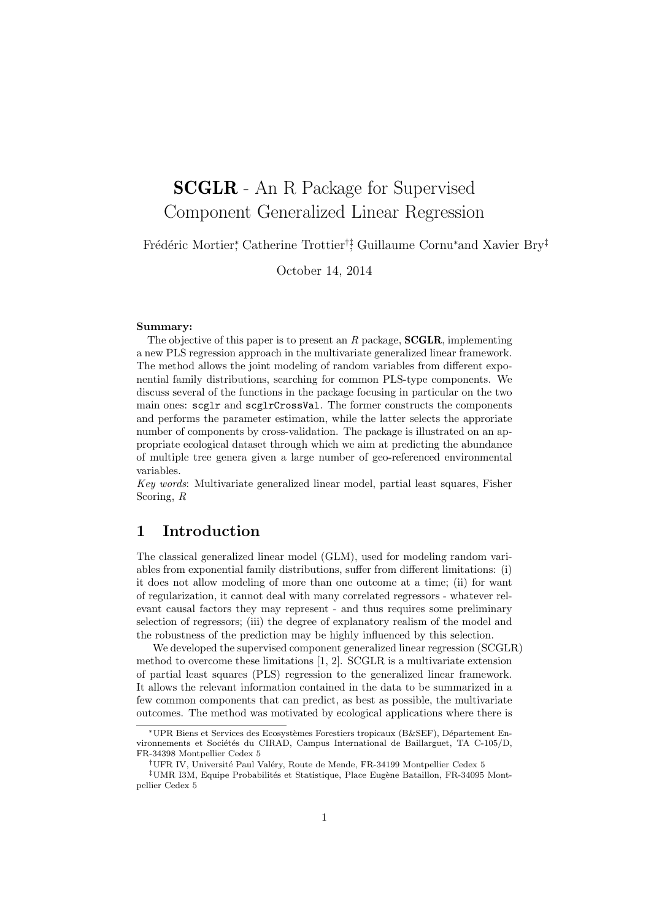# SCGLR - An R Package for Supervised Component Generalized Linear Regression

Frédéric Mortier<sup>\*</sup>, Catherine Trottier<sup>†‡</sup>, Guillaume Cornu<sup>∗</sup>and Xavier Bry<sup>‡</sup>

October 14, 2014

#### Summary:

The objective of this paper is to present an  $R$  package, **SCGLR**, implementing a new PLS regression approach in the multivariate generalized linear framework. The method allows the joint modeling of random variables from different exponential family distributions, searching for common PLS-type components. We discuss several of the functions in the package focusing in particular on the two main ones: scglr and scglrCrossVal. The former constructs the components and performs the parameter estimation, while the latter selects the approriate number of components by cross-validation. The package is illustrated on an appropriate ecological dataset through which we aim at predicting the abundance of multiple tree genera given a large number of geo-referenced environmental variables.

Key words: Multivariate generalized linear model, partial least squares, Fisher Scoring, R

### 1 Introduction

The classical generalized linear model (GLM), used for modeling random variables from exponential family distributions, suffer from different limitations: (i) it does not allow modeling of more than one outcome at a time; (ii) for want of regularization, it cannot deal with many correlated regressors - whatever relevant causal factors they may represent - and thus requires some preliminary selection of regressors; (iii) the degree of explanatory realism of the model and the robustness of the prediction may be highly influenced by this selection.

We developed the supervised component generalized linear regression (SCGLR) method to overcome these limitations  $[1, 2]$ . SCGLR is a multivariate extension of partial least squares (PLS) regression to the generalized linear framework. It allows the relevant information contained in the data to be summarized in a few common components that can predict, as best as possible, the multivariate outcomes. The method was motivated by ecological applications where there is

<sup>\*</sup>UPR Biens et Services des Ecosystèmes Forestiers tropicaux (B&SEF), Département Environnements et Sociétés du CIRAD, Campus International de Baillarguet, TA C-105/D, FR-34398 Montpellier Cedex 5

<sup>&</sup>lt;sup>†</sup>UFR IV, Université Paul Valéry, Route de Mende, FR-34199 Montpellier Cedex 5

<sup>&</sup>lt;sup>‡</sup>UMR I3M, Equipe Probabilités et Statistique, Place Eugène Bataillon, FR-34095 Montpellier Cedex 5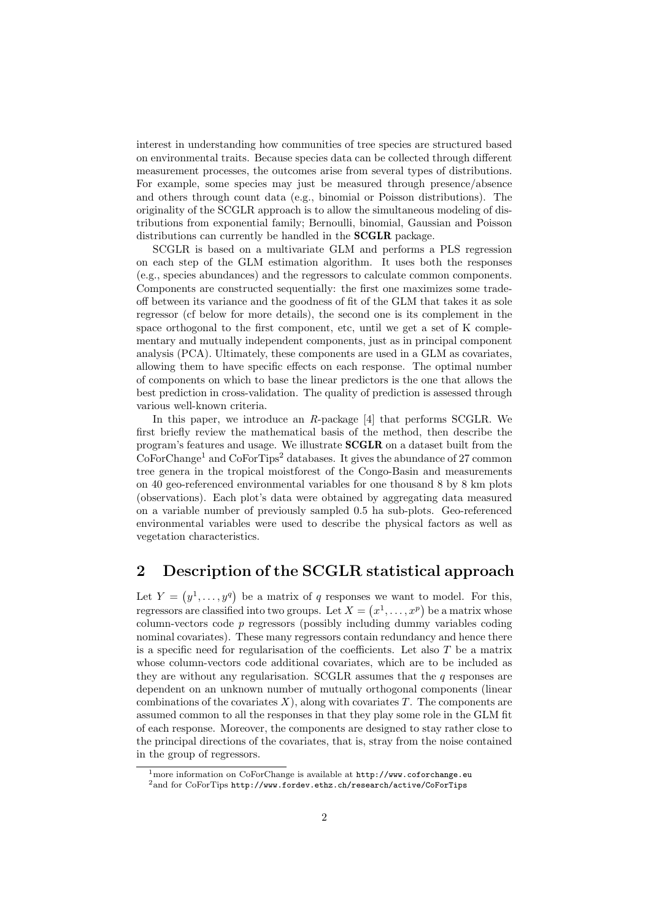interest in understanding how communities of tree species are structured based on environmental traits. Because species data can be collected through different measurement processes, the outcomes arise from several types of distributions. For example, some species may just be measured through presence/absence and others through count data (e.g., binomial or Poisson distributions). The originality of the SCGLR approach is to allow the simultaneous modeling of distributions from exponential family; Bernoulli, binomial, Gaussian and Poisson distributions can currently be handled in the **SCGLR** package.

SCGLR is based on a multivariate GLM and performs a PLS regression on each step of the GLM estimation algorithm. It uses both the responses (e.g., species abundances) and the regressors to calculate common components. Components are constructed sequentially: the first one maximizes some tradeoff between its variance and the goodness of fit of the GLM that takes it as sole regressor (cf below for more details), the second one is its complement in the space orthogonal to the first component, etc, until we get a set of K complementary and mutually independent components, just as in principal component analysis (PCA). Ultimately, these components are used in a GLM as covariates, allowing them to have specific effects on each response. The optimal number of components on which to base the linear predictors is the one that allows the best prediction in cross-validation. The quality of prediction is assessed through various well-known criteria.

In this paper, we introduce an R-package [4] that performs SCGLR. We first briefly review the mathematical basis of the method, then describe the program's features and usage. We illustrate SCGLR on a dataset built from the  $CoForChange<sup>1</sup>$  and  $CoForTips<sup>2</sup> databases.$  It gives the abundance of 27 common tree genera in the tropical moistforest of the Congo-Basin and measurements on 40 geo-referenced environmental variables for one thousand 8 by 8 km plots (observations). Each plot's data were obtained by aggregating data measured on a variable number of previously sampled 0.5 ha sub-plots. Geo-referenced environmental variables were used to describe the physical factors as well as vegetation characteristics.

## 2 Description of the SCGLR statistical approach

Let  $Y = (y^1, \ldots, y^q)$  be a matrix of q responses we want to model. For this, regressors are classified into two groups. Let  $X = (x^1, \ldots, x^p)$  be a matrix whose column-vectors code  $p$  regressors (possibly including dummy variables coding nominal covariates). These many regressors contain redundancy and hence there is a specific need for regularisation of the coefficients. Let also  $T$  be a matrix whose column-vectors code additional covariates, which are to be included as they are without any regularisation. SCGLR assumes that the  $q$  responses are dependent on an unknown number of mutually orthogonal components (linear combinations of the covariates X), along with covariates T. The components are assumed common to all the responses in that they play some role in the GLM fit of each response. Moreover, the components are designed to stay rather close to the principal directions of the covariates, that is, stray from the noise contained in the group of regressors.

<sup>1</sup>more information on CoForChange is available at http://www.coforchange.eu  $^{2}$ and for CoForTips http://www.fordev.ethz.ch/research/active/CoForTips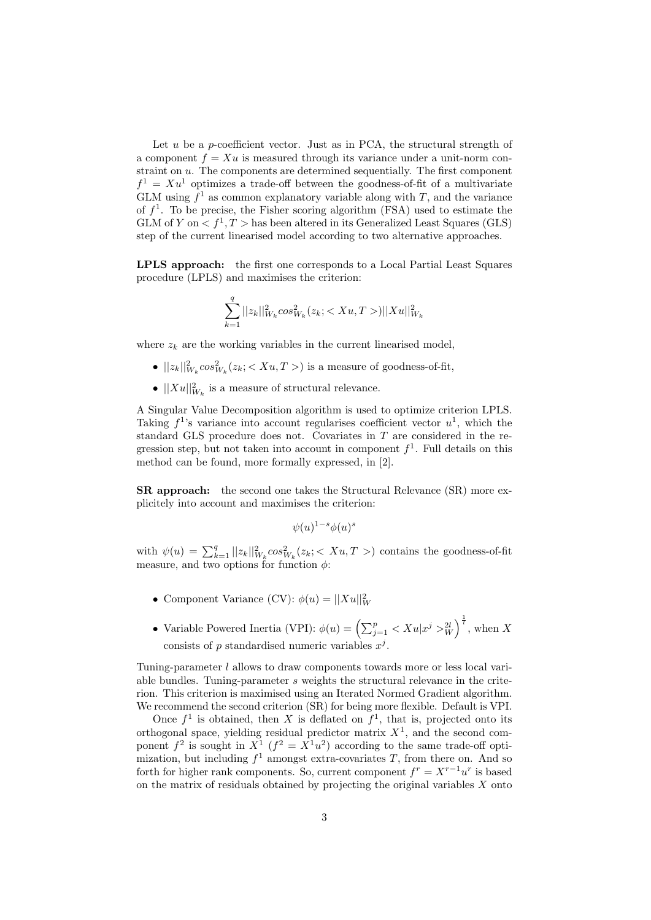Let  $u$  be a p-coefficient vector. Just as in PCA, the structural strength of a component  $f = Xu$  is measured through its variance under a unit-norm constraint on u. The components are determined sequentially. The first component  $f^1 = Xu^1$  optimizes a trade-off between the goodness-of-fit of a multivariate GLM using  $f^1$  as common explanatory variable along with T, and the variance of  $f^1$ . To be precise, the Fisher scoring algorithm (FSA) used to estimate the GLM of Y on  $\langle f^1, T \rangle$  has been altered in its Generalized Least Squares (GLS) step of the current linearised model according to two alternative approaches.

LPLS approach: the first one corresponds to a Local Partial Least Squares procedure (LPLS) and maximises the criterion:

$$
\sum_{k=1}^{q} ||z_k||^2_{W_k} \cos^2_{W_k}(z_k; ) ||Xu||^2_{W_k}
$$

where  $z_k$  are the working variables in the current linearised model,

- $||z_k||^2_{W_k} \cos^2_{W_k}(z_k; < Xu, T>)$  is a measure of goodness-of-fit,
- $||Xu||^2_{W_k}$  is a measure of structural relevance.

A Singular Value Decomposition algorithm is used to optimize criterion LPLS. Taking  $f^1$ 's variance into account regularises coefficient vector  $u^1$ , which the standard GLS procedure does not. Covariates in  $T$  are considered in the regression step, but not taken into account in component  $f^1$ . Full details on this method can be found, more formally expressed, in [2].

SR approach: the second one takes the Structural Relevance (SR) more explicitely into account and maximises the criterion:

$$
\psi(u)^{1-s}\phi(u)^s
$$

with  $\psi(u) = \sum_{k=1}^q ||z_k||^2_{W_k} \cos^2_{W_k}(z_k; \langle Xu, T \rangle)$  contains the goodness-of-fit measure, and two options for function  $\phi$ :

- Component Variance (CV):  $\phi(u) = ||Xu||_W^2$
- Variable Powered Inertia (VPI):  $\phi(u) = \left(\sum_{j=1}^p \langle Xu | x^j \rangle_W^{2l} \right)^{\frac{1}{l}}$ , when X consists of p standardised numeric variables  $x^j$ .

Tuning-parameter l allows to draw components towards more or less local variable bundles. Tuning-parameter  $s$  weights the structural relevance in the criterion. This criterion is maximised using an Iterated Normed Gradient algorithm. We recommend the second criterion (SR) for being more flexible. Default is VPI.

Once  $f^1$  is obtained, then X is deflated on  $f^1$ , that is, projected onto its orthogonal space, yielding residual predictor matrix  $X<sup>1</sup>$ , and the second component  $f^2$  is sought in  $X^1$   $(f^2 = X^1u^2)$  according to the same trade-off optimization, but including  $f^1$  amongst extra-covariates T, from there on. And so forth for higher rank components. So, current component  $f^r = X^{r-1}u^r$  is based on the matrix of residuals obtained by projecting the original variables  $X$  onto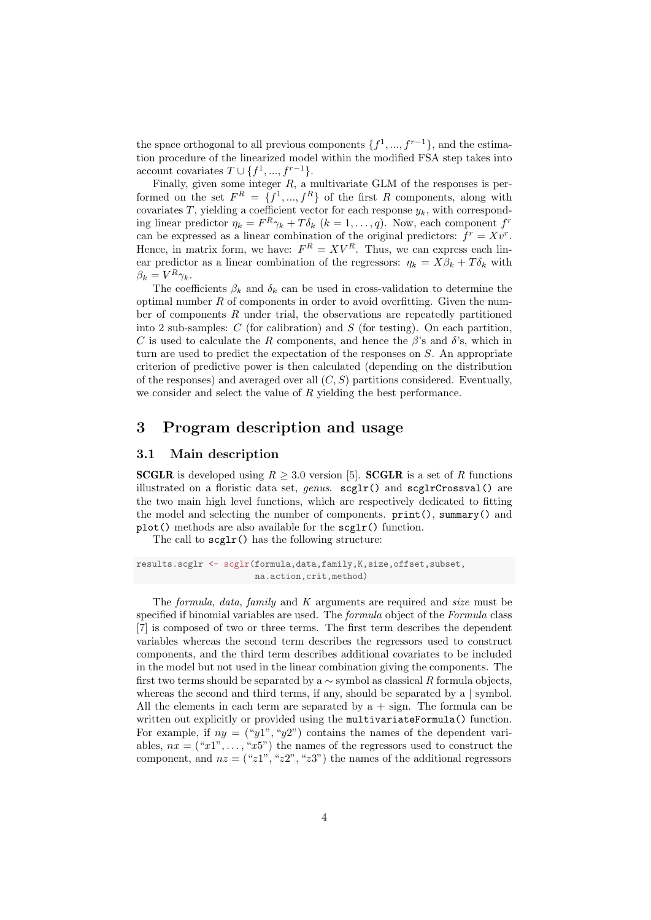the space orthogonal to all previous components  $\{f^1, ..., f^{r-1}\}$ , and the estimation procedure of the linearized model within the modified FSA step takes into account covariates  $T \cup \{f^1, ..., f^{r-1}\}.$ 

Finally, given some integer  $R$ , a multivariate GLM of the responses is performed on the set  $F^R = \{f^1, ..., f^R\}$  of the first R components, along with covariates T, yielding a coefficient vector for each response  $y_k$ , with corresponding linear predictor  $\eta_k = F^R \gamma_k + T \delta_k$   $(k = 1, ..., q)$ . Now, each component  $f^r$ can be expressed as a linear combination of the original predictors:  $f^r = Xv^r$ . Hence, in matrix form, we have:  $F^R = XV^R$ . Thus, we can express each linear predictor as a linear combination of the regressors:  $\eta_k = X\beta_k + T\delta_k$  with  $\beta_k = V^R \gamma_k.$ 

The coefficients  $\beta_k$  and  $\delta_k$  can be used in cross-validation to determine the optimal number  $R$  of components in order to avoid overfitting. Given the number of components  $R$  under trial, the observations are repeatedly partitioned into 2 sub-samples:  $C$  (for calibration) and  $S$  (for testing). On each partition, C is used to calculate the R components, and hence the  $\beta$ 's and  $\delta$ 's, which in turn are used to predict the expectation of the responses on S. An appropriate criterion of predictive power is then calculated (depending on the distribution of the responses) and averaged over all  $(C, S)$  partitions considered. Eventually, we consider and select the value of  $R$  yielding the best performance.

### 3 Program description and usage

#### 3.1 Main description

**SCGLR** is developed using  $R > 3.0$  version [5]. **SCGLR** is a set of R functions illustrated on a floristic data set, *genus.*  $\text{scglr}()$  and  $\text{scglrCrossval}()$  are the two main high level functions, which are respectively dedicated to fitting the model and selecting the number of components. print(), summary() and plot() methods are also available for the scglr() function.

The call to scglr() has the following structure:

results.scglr <- scglr(formula,data,family,K,size,offset,subset, na.action,crit,method)

The formula, data, family and  $K$  arguments are required and size must be specified if binomial variables are used. The *formula* object of the *Formula* class [7] is composed of two or three terms. The first term describes the dependent variables whereas the second term describes the regressors used to construct components, and the third term describes additional covariates to be included in the model but not used in the linear combination giving the components. The first two terms should be separated by a  $\sim$  symbol as classical R formula objects, whereas the second and third terms, if any, should be separated by a | symbol. All the elements in each term are separated by  $a + sign$ . The formula can be written out explicitly or provided using the multivariateFormula() function. For example, if  $ny = ("y1", "y2")$  contains the names of the dependent variables,  $nx = ("x1", \ldots, "x5")$  the names of the regressors used to construct the component, and  $nz = ("z1", "z2", "z3")$  the names of the additional regressors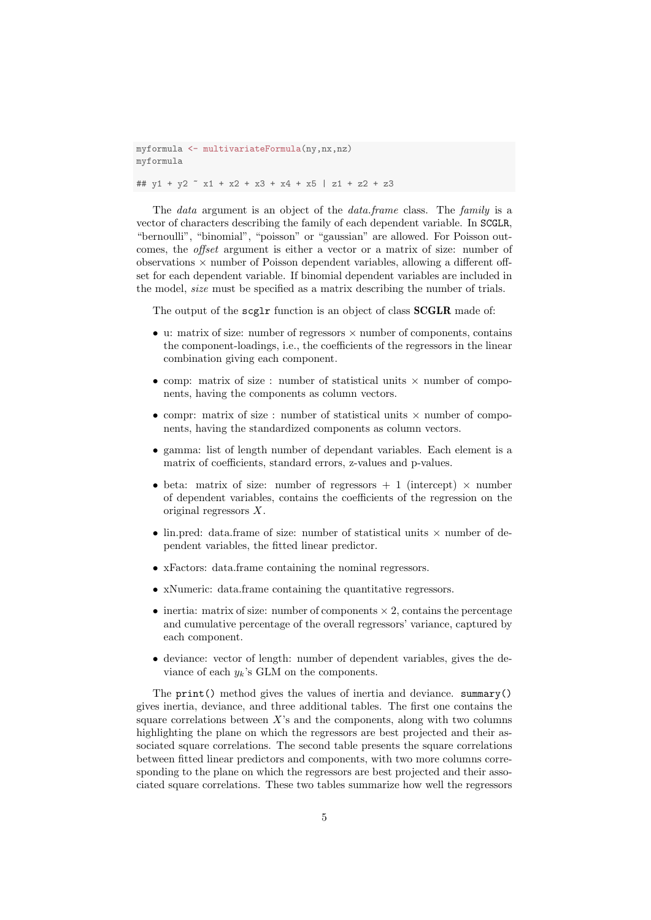myformula <- multivariateFormula(ny,nx,nz) myformula ##  $y1 + y2$   $\tilde{x}$  x1 + x2 + x3 + x4 + x5 | z1 + z2 + z3

The *data* argument is an object of the *data* frame class. The family is a vector of characters describing the family of each dependent variable. In SCGLR, "bernoulli", "binomial", "poisson" or "gaussian" are allowed. For Poisson outcomes, the *offset* argument is either a vector or a matrix of size: number of observations  $\times$  number of Poisson dependent variables, allowing a different offset for each dependent variable. If binomial dependent variables are included in the model, size must be specified as a matrix describing the number of trials.

The output of the scglr function is an object of class **SCGLR** made of:

- u: matrix of size: number of regressors  $\times$  number of components, contains the component-loadings, i.e., the coefficients of the regressors in the linear combination giving each component.
- comp: matrix of size : number of statistical units  $\times$  number of components, having the components as column vectors.
- compr: matrix of size : number of statistical units  $\times$  number of components, having the standardized components as column vectors.
- gamma: list of length number of dependant variables. Each element is a matrix of coefficients, standard errors, z-values and p-values.
- beta: matrix of size: number of regressors  $+1$  (intercept)  $\times$  number of dependent variables, contains the coefficients of the regression on the original regressors X.
- lin.pred: data.frame of size: number of statistical units  $\times$  number of dependent variables, the fitted linear predictor.
- xFactors: data.frame containing the nominal regressors.
- xNumeric: data.frame containing the quantitative regressors.
- inertia: matrix of size: number of components  $\times$  2, contains the percentage and cumulative percentage of the overall regressors' variance, captured by each component.
- deviance: vector of length: number of dependent variables, gives the deviance of each  $y_k$ 's GLM on the components.

The print() method gives the values of inertia and deviance. summary() gives inertia, deviance, and three additional tables. The first one contains the square correlations between  $X$ 's and the components, along with two columns highlighting the plane on which the regressors are best projected and their associated square correlations. The second table presents the square correlations between fitted linear predictors and components, with two more columns corresponding to the plane on which the regressors are best projected and their associated square correlations. These two tables summarize how well the regressors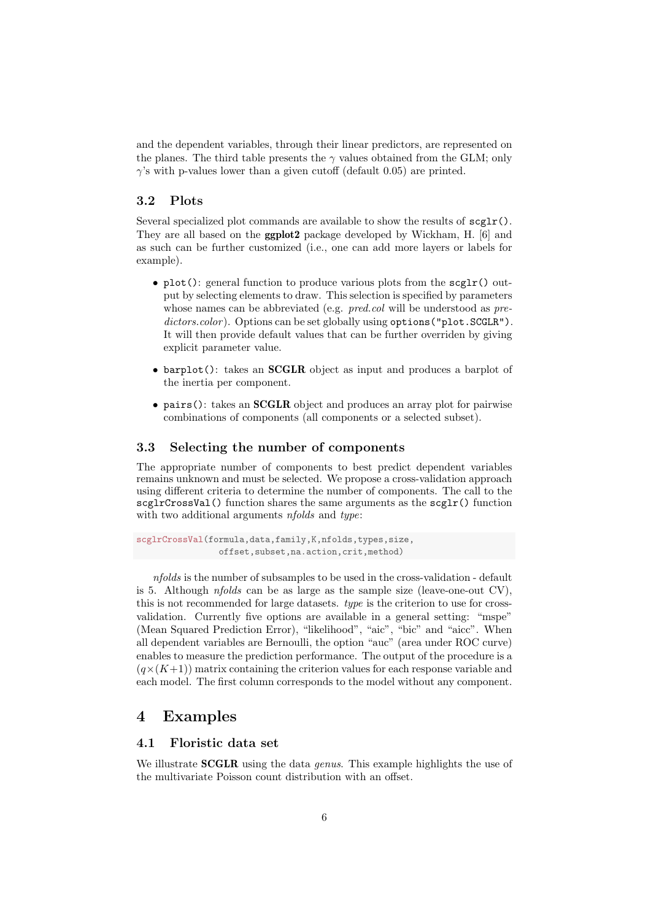and the dependent variables, through their linear predictors, are represented on the planes. The third table presents the  $\gamma$  values obtained from the GLM; only  $\gamma$ 's with p-values lower than a given cutoff (default 0.05) are printed.

#### 3.2 Plots

Several specialized plot commands are available to show the results of  $\text{segr}(\mathbf{r})$ . They are all based on the ggplot2 package developed by Wickham, H. [6] and as such can be further customized (i.e., one can add more layers or labels for example).

- plot(): general function to produce various plots from the  $\text{segr}(x)$  output by selecting elements to draw. This selection is specified by parameters whose names can be abbreviated (e.g. *pred.col* will be understood as *pre* $dictors.color)$ . Options can be set globally using options ("plot. SCGLR"). It will then provide default values that can be further overriden by giving explicit parameter value.
- barplot(): takes an **SCGLR** object as input and produces a barplot of the inertia per component.
- pairs(): takes an **SCGLR** object and produces an array plot for pairwise combinations of components (all components or a selected subset).

#### 3.3 Selecting the number of components

The appropriate number of components to best predict dependent variables remains unknown and must be selected. We propose a cross-validation approach using different criteria to determine the number of components. The call to the  $\texttt{scglrCrossVal}()$  function shares the same arguments as the  $\texttt{scglr}()$  function with two additional arguments *nfolds* and *type*:

```
scglrCrossVal(formula,data,family,K,nfolds,types,size,
                offset,subset,na.action,crit,method)
```
nfolds is the number of subsamples to be used in the cross-validation - default is 5. Although *nfolds* can be as large as the sample size (leave-one-out CV), this is not recommended for large datasets. type is the criterion to use for crossvalidation. Currently five options are available in a general setting: "mspe" (Mean Squared Prediction Error), "likelihood", "aic", "bic" and "aicc". When all dependent variables are Bernoulli, the option "auc" (area under ROC curve) enables to measure the prediction performance. The output of the procedure is a  $(q\times (K+1))$  matrix containing the criterion values for each response variable and each model. The first column corresponds to the model without any component.

### 4 Examples

### 4.1 Floristic data set

We illustrate **SCGLR** using the data *genus*. This example highlights the use of the multivariate Poisson count distribution with an offset.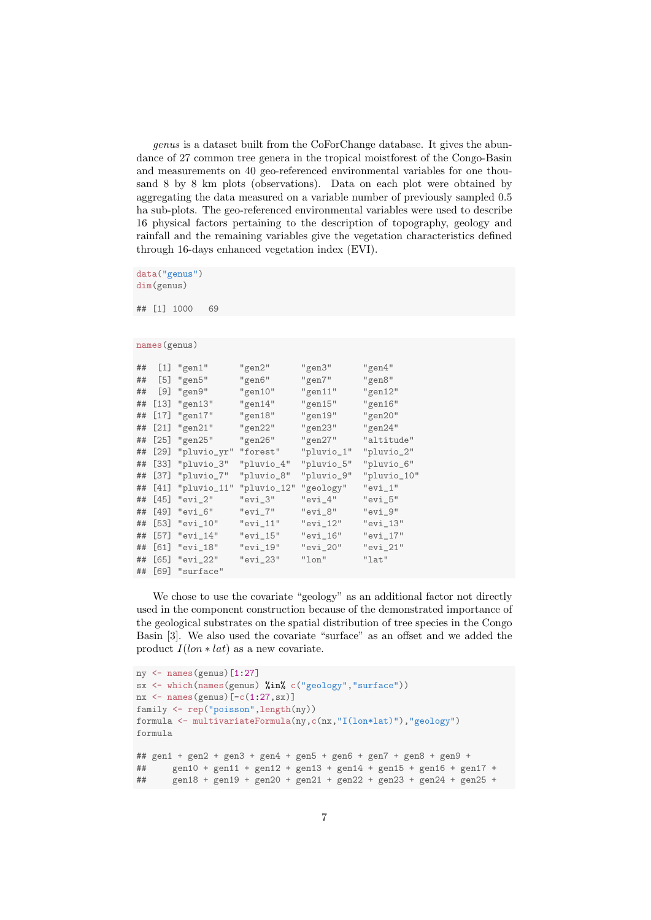genus is a dataset built from the CoForChange database. It gives the abundance of 27 common tree genera in the tropical moistforest of the Congo-Basin and measurements on 40 geo-referenced environmental variables for one thousand 8 by 8 km plots (observations). Data on each plot were obtained by aggregating the data measured on a variable number of previously sampled 0.5 ha sub-plots. The geo-referenced environmental variables were used to describe 16 physical factors pertaining to the description of topography, geology and rainfall and the remaining variables give the vegetation characteristics defined through 16-days enhanced vegetation index (EVI).

data("genus") dim(genus)

## [1] 1000 69

```
names(genus)
```

```
## [1] "gen1" "gen2" "gen3" "gen4"
## [5] "gen5" "gen6" "gen7" "gen8"
## [9] "gen9" "gen10" "gen11" "gen12"
## [13] "gen13" "gen14" "gen15" "gen16"
## [17] "gen17" "gen18" "gen19" "gen20"
## [21] "gen21" "gen22" "gen23" "gen24"
## [25] "gen25"   "gen26"   "gen27"<br>## [29] "pluvio_yr" "forest"   "pluvio_1"
## [29] "pluvio_yr" "forest" "pluvio_1" "pluvio_2"
## [33] "pluvio_3" "pluvio_4" "pluvio_5" "pluvio_6"
## [37] "pluvio_7" "pluvio_8" "pluvio_9" "pluvio_10"
## [41] "pluvio_11" "pluvio_12" "geology" "evi_1"
## [45] "evi_2" "evi_3" "evi_4" "evi_5"
## [49] "evi_6" "evi_7" "evi_8" "evi_9"
## [53] "evi_10" "evi_11" "evi_12" "evi_13"
## [57] "evi_14" "evi_15" "evi_16" "evi_17"
## [61] "evi_18" "evi_19" "evi_20" "evi_21"
## [65] "evi_22" "evi_23" "lon" "lat"
## [69] "surface"
```
We chose to use the covariate "geology" as an additional factor not directly used in the component construction because of the demonstrated importance of the geological substrates on the spatial distribution of tree species in the Congo Basin [3]. We also used the covariate "surface" as an offset and we added the product  $I(lon * lat)$  as a new covariate.

```
ny <- names(genus)[1:27]
sx <- which(names(genus) %in% c("geology","surface"))
nx \leftarrow names(genus) [-c(1:27,sx)]family <- rep("poisson",length(ny))
formula <- multivariateFormula(ny,c(nx,"I(lon*lat)"),"geology")
formula
## gen1 + gen2 + gen3 + gen4 + gen5 + gen6 + gen7 + gen8 + gen9 +
## gen10 + gen11 + gen12 + gen13 + gen14 + gen15 + gen16 + gen17 +
## gen18 + gen19 + gen20 + gen21 + gen22 + gen23 + gen24 + gen25 +
```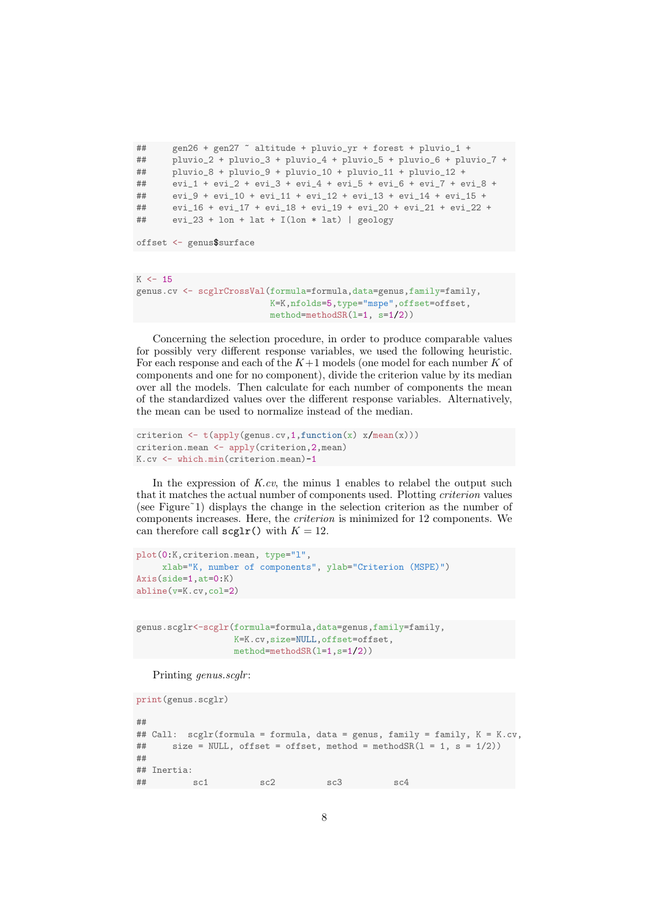```
## gen26 + gen27 ~ altitude + pluvio_yr + forest + pluvio_1 +
## pluvio_2 + pluvio_3 + pluvio_4 + pluvio_5 + pluvio_6 + pluvio_7 +
## pluvio_8 + pluvio_9 + pluvio_10 + pluvio_11 + pluvio_12 +
## evi_1 + evi_2 + evi_3 + evi_4 + evi_5 + evi_6 + evi_7 + evi_8 +
## evi_9 + evi_10 + evi_11 + evi_12 + evi_13 + evi_14 + evi_15 +
## evi_16 + evi_17 + evi_18 + evi_19 + evi_20 + evi_21 + evi_22 +
## evi_23 + lon + lat + I(lon * lat) | geology
```

```
offset <- genus$surface
```

```
K < -15genus.cv <- scglrCrossVal(formula=formula,data=genus,family=family,
                          K=K,nfolds=5,type="mspe",offset=offset,
                          method=methodSR(l=1, s=1/2))
```
Concerning the selection procedure, in order to produce comparable values for possibly very different response variables, we used the following heuristic. For each response and each of the  $K+1$  models (one model for each number K of components and one for no component), divide the criterion value by its median over all the models. Then calculate for each number of components the mean of the standardized values over the different response variables. Alternatively, the mean can be used to normalize instead of the median.

```
criterion \leftarrow t(apply(genus.cv,1,function(x) x/mean(x)))
criterion.mean <- apply(criterion,2,mean)
K.cv <- which.min(criterion.mean)-1
```
In the expression of  $K.cv$ , the minus 1 enables to relabel the output such that it matches the actual number of components used. Plotting criterion values (see Figure˜1) displays the change in the selection criterion as the number of components increases. Here, the criterion is minimized for 12 components. We can therefore call  $\text{segr}(x)$  with  $K = 12$ .

```
plot(0:K,criterion.mean, type="l",
     xlab="K, number of components", ylab="Criterion (MSPE)")
Axis(side=1,at=0:K)
abline(v=K.cv,col=2)
```

```
genus.scglr<-scglr(formula=formula,data=genus,family=family,
                   K=K.cv,size=NULL,offset=offset,
                  method=methodSR(l=1,s=1/2))
```
Printing genus.scglr:

```
print(genus.scglr)
##
## Call: scglr(formula = formula, data = genus, family = family, K = K.cv,
## size = NULL, offset = offset, method = methodSR(1 = 1, s = 1/2))
##
## Inertia:
\# sc1 sc2 sc3 sc4
```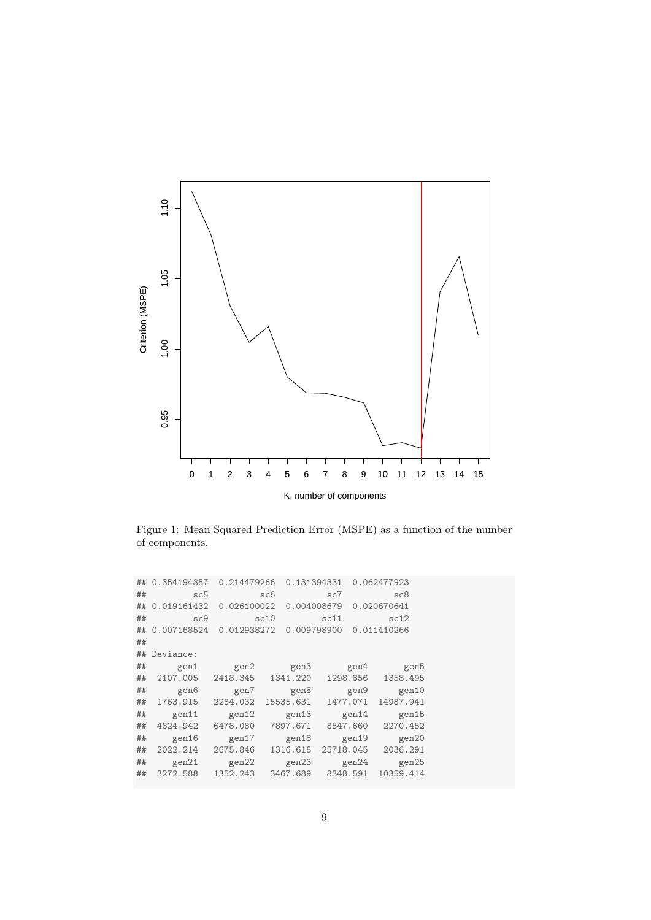

Figure 1: Mean Squared Prediction Error (MSPE) as a function of the number of components.

|    | ## 0.354194357    | 0.214479266                            |     | 0.131394331 |          |             | 0.062477923             |  |
|----|-------------------|----------------------------------------|-----|-------------|----------|-------------|-------------------------|--|
| ## | sc5               |                                        | sc6 |             | sc7      |             | sc8                     |  |
|    | ## 0.019161432    | 0.026100022                            |     | 0.004008679 |          |             | 0.020670641             |  |
| ## | sc9               | sc10                                   |     |             | sc11     |             | sc12                    |  |
|    |                   | ## 0.007168524 0.012938272 0.009798900 |     |             |          | 0.011410266 |                         |  |
| ## |                   |                                        |     |             |          |             |                         |  |
|    | ## Deviance:      |                                        |     |             |          |             |                         |  |
| ## | gen1              |                                        |     |             |          |             | gen2 gen3 gen4 gen5     |  |
| ## | 2107.005 2418.345 |                                        |     | 1341.220    |          | 1298.856    | 1358.495                |  |
| ## | gen6              | gen7                                   |     | gen8        |          | gen9        | gen10                   |  |
| ## | 1763.915          | 2284.032                               |     | 15535.631   | 1477.071 |             | 14987.941               |  |
| ## | gen11             | gen12 gen13                            |     |             |          | gen14       | gen15                   |  |
| ## | 4824.942          | 6478.080                               |     | 7897.671    | 8547.660 |             | 2270.452                |  |
| ## | gen16             | gen $17$                               |     | gen18       |          | gen19       | gen20                   |  |
| ## | 2022.214          | 2675.846                               |     | 1316.618    |          |             | 25718.045 2036.291      |  |
| ## | gen21             |                                        |     |             |          |             | gen22 gen23 gen24 gen25 |  |
| ## | 3272.588          | 1352.243 3467.689 8348.591             |     |             |          |             | 10359.414               |  |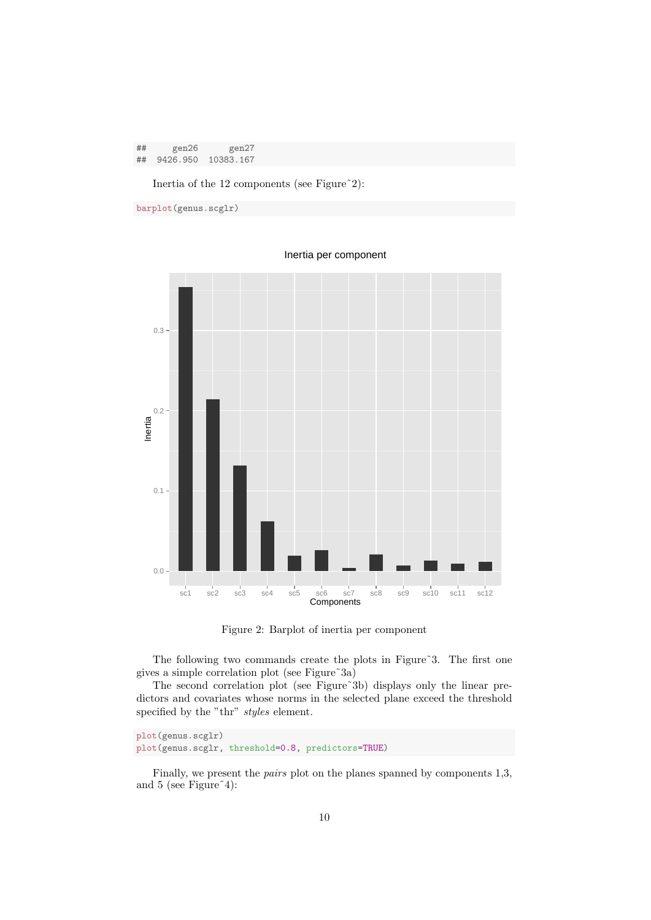| ## | gen26       | gen27     |
|----|-------------|-----------|
|    | ## 9426.950 | 10383.167 |

Inertia of the 12 components (see Figure<sup>~2</sup>):

```
barplot(genus.scglr)
```


Inertia per component

Figure 2: Barplot of inertia per component

The following two commands create the plots in Figure<sup>5</sup>3. The first one gives a simple correlation plot (see Figure˜3a)

The second correlation plot (see Figure~3b) displays only the linear predictors and covariates whose norms in the selected plane exceed the threshold specified by the "thr" styles element.

plot(genus.scglr) plot(genus.scglr, threshold=0.8, predictors=TRUE)

Finally, we present the pairs plot on the planes spanned by components 1,3, and 5 (see Figure  $4$ ):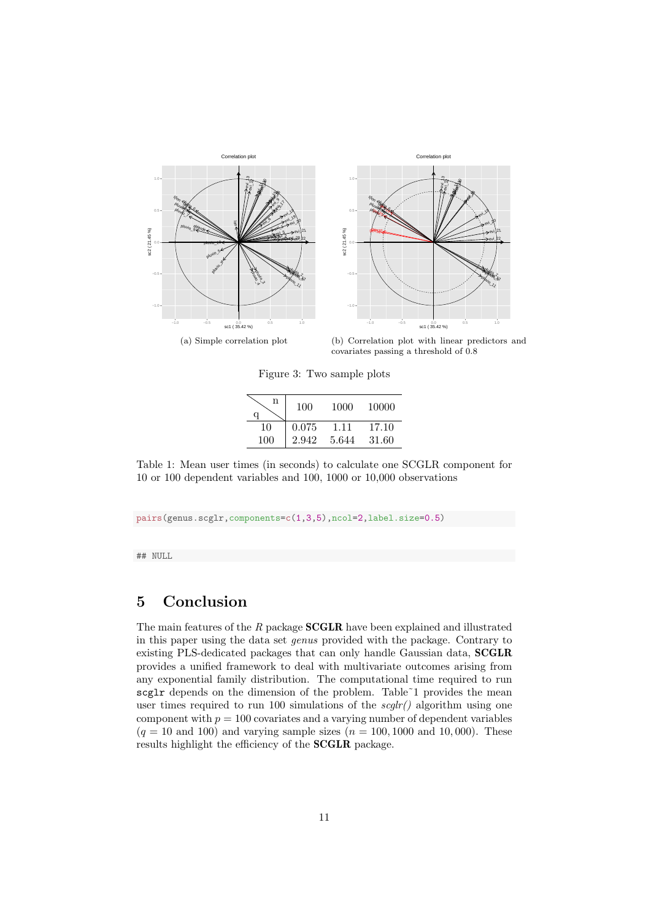

(a) Simple correlation plot

(b) Correlation plot with linear predictors and covariates passing a threshold of 0.8

Figure 3: Two sample plots

| n<br>q | 100   | 1000  | 10000 |
|--------|-------|-------|-------|
| 10     | 0.075 | 1.11  | 17.10 |
| 100    | 2.942 | 5.644 | 31.60 |

Table 1: Mean user times (in seconds) to calculate one SCGLR component for 10 or 100 dependent variables and 100, 1000 or 10,000 observations

pairs(genus.scglr,components=c(1,3,5),ncol=2,label.size=0.5)

## NULL

## 5 Conclusion

The main features of the  $R$  package **SCGLR** have been explained and illustrated in this paper using the data set genus provided with the package. Contrary to existing PLS-dedicated packages that can only handle Gaussian data, SCGLR provides a unified framework to deal with multivariate outcomes arising from any exponential family distribution. The computational time required to run scglr depends on the dimension of the problem. Table~1 provides the mean user times required to run 100 simulations of the  $\frac{seglr}{\lambda}$  algorithm using one component with  $p = 100$  covariates and a varying number of dependent variables  $(q = 10 \text{ and } 100)$  and varying sample sizes  $(n = 100, 1000 \text{ and } 10, 000)$ . These results highlight the efficiency of the SCGLR package.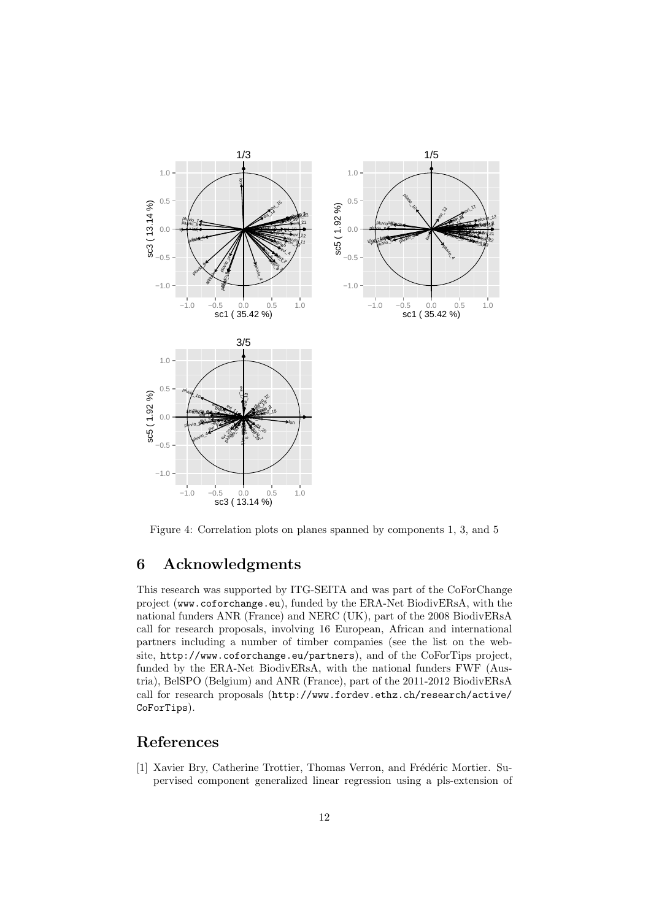

Figure 4: Correlation plots on planes spanned by components 1, 3, and 5

# 6 Acknowledgments

This research was supported by ITG-SEITA and was part of the CoForChange project (www.coforchange.eu), funded by the ERA-Net BiodivERsA, with the national funders ANR (France) and NERC (UK), part of the 2008 BiodivERsA call for research proposals, involving 16 European, African and international partners including a number of timber companies (see the list on the website, http://www.coforchange.eu/partners), and of the CoForTips project, funded by the ERA-Net BiodivERsA, with the national funders FWF (Austria), BelSPO (Belgium) and ANR (France), part of the 2011-2012 BiodivERsA call for research proposals (http://www.fordev.ethz.ch/research/active/ CoForTips).

## References

[1] Xavier Bry, Catherine Trottier, Thomas Verron, and Frédéric Mortier. Supervised component generalized linear regression using a pls-extension of